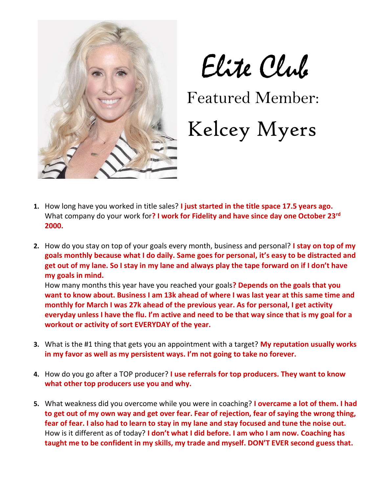

## Elite Club

Featured Member:

## Kelcey Myers

- **1.** How long have you worked in title sales? **I just started in the title space 17.5 years ago.**  What company do your work for**? I work for Fidelity and have since day one October 23rd 2000.**
- **2.** How do you stay on top of your goals every month, business and personal? **I stay on top of my goals monthly because what I do daily. Same goes for personal, it's easy to be distracted and get out of my lane. So I stay in my lane and always play the tape forward on if I don't have my goals in mind.**

How many months this year have you reached your goals**? Depends on the goals that you want to know about. Business I am 13k ahead of where I was last year at this same time and monthly for March I was 27k ahead of the previous year. As for personal, I get activity everyday unless I have the flu. I'm active and need to be that way since that is my goal for a workout or activity of sort EVERYDAY of the year.**

- **3.** What is the #1 thing that gets you an appointment with a target? **My reputation usually works in my favor as well as my persistent ways. I'm not going to take no forever.**
- **4.** How do you go after a TOP producer? **I use referrals for top producers. They want to know what other top producers use you and why.**
- **5.** What weakness did you overcome while you were in coaching? **I overcame a lot of them. I had to get out of my own way and get over fear. Fear of rejection, fear of saying the wrong thing, fear of fear. I also had to learn to stay in my lane and stay focused and tune the noise out.** How is it different as of today? **I don't what I did before. I am who I am now. Coaching has taught me to be confident in my skills, my trade and myself. DON'T EVER second guess that.**